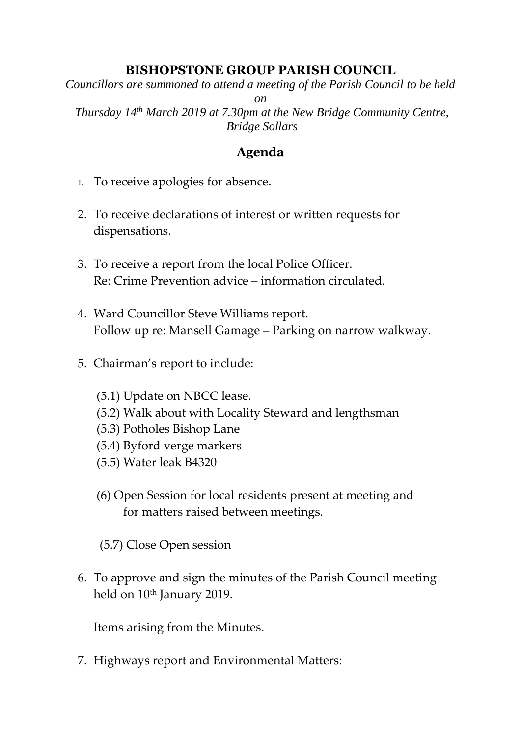## **BISHOPSTONE GROUP PARISH COUNCIL**

*Councillors are summoned to attend a meeting of the Parish Council to be held* 

*on*

*Thursday 14th March 2019 at 7.30pm at the New Bridge Community Centre, Bridge Sollars*

## **Agenda**

- 1. To receive apologies for absence.
- 2. To receive declarations of interest or written requests for dispensations.
- 3. To receive a report from the local Police Officer. Re: Crime Prevention advice – information circulated.
- 4. Ward Councillor Steve Williams report. Follow up re: Mansell Gamage – Parking on narrow walkway.
- 5. Chairman's report to include:
	- (5.1) Update on NBCC lease.
	- (5.2) Walk about with Locality Steward and lengthsman
	- (5.3) Potholes Bishop Lane
	- (5.4) Byford verge markers
	- (5.5) Water leak B4320
	- (6) Open Session for local residents present at meeting and for matters raised between meetings.
	- (5.7) Close Open session
- 6. To approve and sign the minutes of the Parish Council meeting held on 10<sup>th</sup> January 2019.

Items arising from the Minutes.

7. Highways report and Environmental Matters: